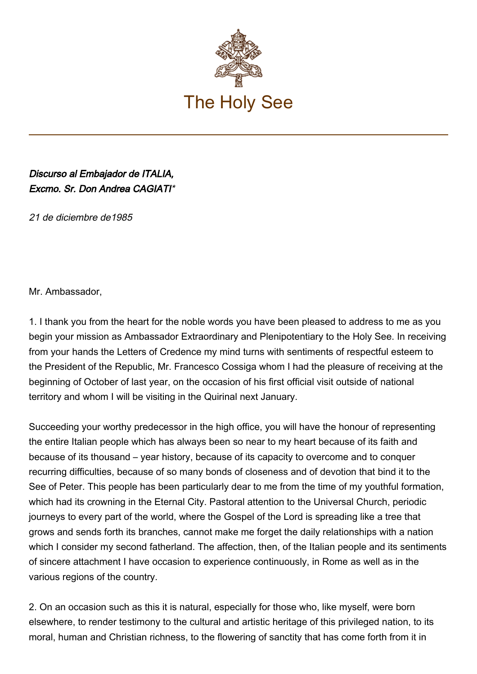

## Discurso al Embajador de ITALIA, Excmo. Sr. Don Andrea CAGIATI\*

21 de diciembre de1985

Mr. Ambassador,

1. I thank you from the heart for the noble words you have been pleased to address to me as you begin your mission as Ambassador Extraordinary and Plenipotentiary to the Holy See. In receiving from your hands the Letters of Credence my mind turns with sentiments of respectful esteem to the President of the Republic, Mr. Francesco Cossiga whom I had the pleasure of receiving at the beginning of October of last year, on the occasion of his first official visit outside of national territory and whom I will be visiting in the Quirinal next January.

Succeeding your worthy predecessor in the high office, you will have the honour of representing the entire Italian people which has always been so near to my heart because of its faith and because of its thousand – year history, because of its capacity to overcome and to conquer recurring difficulties, because of so many bonds of closeness and of devotion that bind it to the See of Peter. This people has been particularly dear to me from the time of my youthful formation, which had its crowning in the Eternal City. Pastoral attention to the Universal Church, periodic journeys to every part of the world, where the Gospel of the Lord is spreading like a tree that grows and sends forth its branches, cannot make me forget the daily relationships with a nation which I consider my second fatherland. The affection, then, of the Italian people and its sentiments of sincere attachment I have occasion to experience continuously, in Rome as well as in the various regions of the country.

2. On an occasion such as this it is natural, especially for those who, like myself, were born elsewhere, to render testimony to the cultural and artistic heritage of this privileged nation, to its moral, human and Christian richness, to the flowering of sanctity that has come forth from it in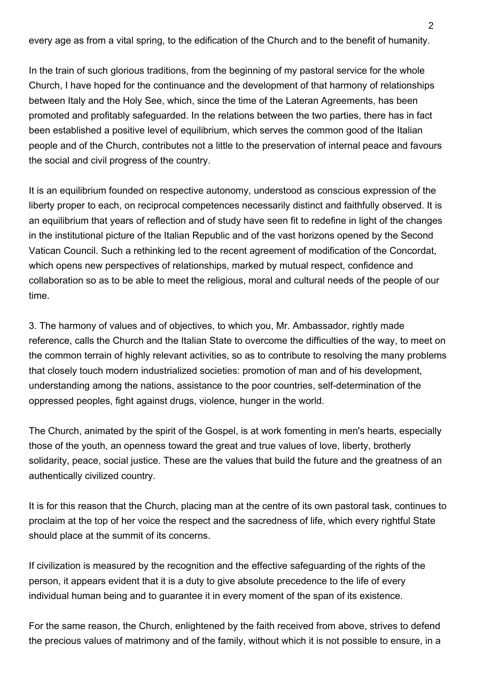every age as from a vital spring, to the edification of the Church and to the benefit of humanity.

In the train of such glorious traditions, from the beginning of my pastoral service for the whole Church, I have hoped for the continuance and the development of that harmony of relationships between Italy and the Holy See, which, since the time of the Lateran Agreements, has been promoted and profitably safeguarded. In the relations between the two parties, there has in fact been established a positive level of equilibrium, which serves the common good of the Italian people and of the Church, contributes not a little to the preservation of internal peace and favours the social and civil progress of the country.

It is an equilibrium founded on respective autonomy, understood as conscious expression of the liberty proper to each, on reciprocal competences necessarily distinct and faithfully observed. It is an equilibrium that years of reflection and of study have seen fit to redefine in light of the changes in the institutional picture of the Italian Republic and of the vast horizons opened by the Second Vatican Council. Such a rethinking led to the recent agreement of modification of the Concordat, which opens new perspectives of relationships, marked by mutual respect, confidence and collaboration so as to be able to meet the religious, moral and cultural needs of the people of our time.

3. The harmony of values and of objectives, to which you, Mr. Ambassador, rightly made reference, calls the Church and the Italian State to overcome the difficulties of the way, to meet on the common terrain of highly relevant activities, so as to contribute to resolving the many problems that closely touch modern industrialized societies: promotion of man and of his development, understanding among the nations, assistance to the poor countries, self‑determination of the oppressed peoples, fight against drugs, violence, hunger in the world.

The Church, animated by the spirit of the Gospel, is at work fomenting in men's hearts, especially those of the youth, an openness toward the great and true values of love, liberty, brotherly solidarity, peace, social justice. These are the values that build the future and the greatness of an authentically civilized country.

It is for this reason that the Church, placing man at the centre of its own pastoral task, continues to proclaim at the top of her voice the respect and the sacredness of life, which every rightful State should place at the summit of its concerns.

If civilization is measured by the recognition and the effective safeguarding of the rights of the person, it appears evident that it is a duty to give absolute precedence to the life of every individual human being and to guarantee it in every moment of the span of its existence.

For the same reason, the Church, enlightened by the faith received from above, strives to defend the precious values of matrimony and of the family, without which it is not possible to ensure, in a